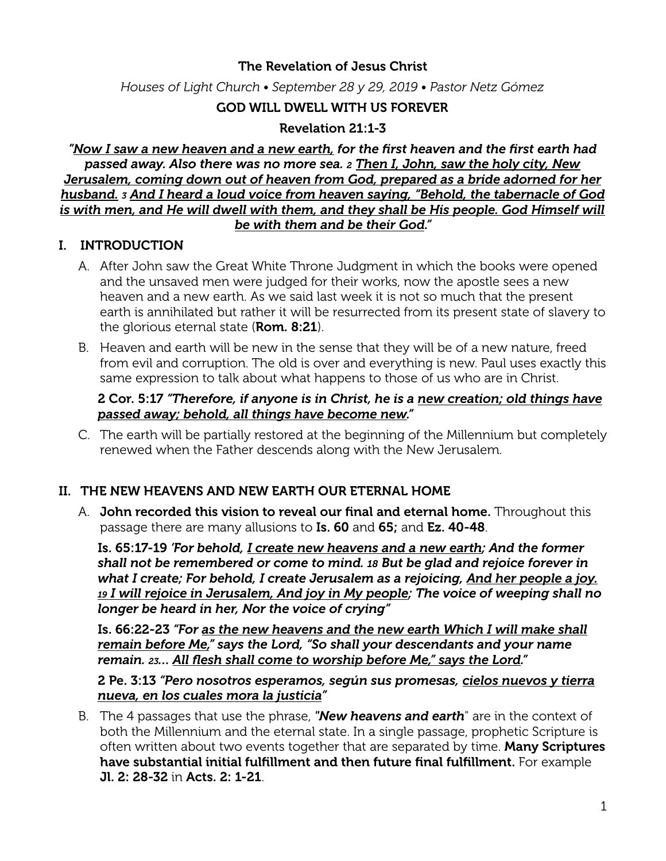# The Revelation of Jesus Christ

*Houses of Light Church • September 28 y 29, 2019 • Pastor Netz Gómez*

# GOD WILL DWELL WITH US FOREVER

# Revelation 21:1-3

*"Now I saw a new heaven and a new earth, for the first heaven and the first earth had passed away. Also there was no more sea. 2 Then I, John, saw the holy city, New Jerusalem, coming down out of heaven from God, prepared as a bride adorned for her husband. <sup>3</sup> And I heard a loud voice from heaven saying, "Behold, the tabernacle of God*  is with men, and He will dwell with them, and they shall be His people. God Himself will *be with them and be their God."* 

# I. INTRODUCTION

- A. After John saw the Great White Throne Judgment in which the books were opened and the unsaved men were judged for their works, now the apostle sees a new heaven and a new earth. As we said last week it is not so much that the present earth is annihilated but rather it will be resurrected from its present state of slavery to the glorious eternal state (**Rom. 8:21**).
- B. Heaven and earth will be new in the sense that they will be of a new nature, freed from evil and corruption. The old is over and everything is new. Paul uses exactly this same expression to talk about what happens to those of us who are in Christ.

#### 2 Cor. 5:17 *"Therefore, if anyone is in Christ, he is a new creation; old things have passed away; behold, all things have become new."*

C. The earth will be partially restored at the beginning of the Millennium but completely renewed when the Father descends along with the New Jerusalem.

# II. THE NEW HEAVENS AND NEW EARTH OUR ETERNAL HOME

A. John recorded this vision to reveal our final and eternal home. Throughout this passage there are many allusions to Is. 60 and 65; and Ez. 40-48.

Is. 65:17-19 *'For behold, I create new heavens and a new earth; And the former shall not be remembered or come to mind. 18 But be glad and rejoice forever in what I create; For behold, I create Jerusalem as a rejoicing, And her people a joy. 19 I will rejoice in Jerusalem, And joy in My people; The voice of weeping shall no longer be heard in her, Nor the voice of crying"* 

Is. 66:22-23 *"For as the new heavens and the new earth Which I will make shall remain before Me," says the Lord, "So shall your descendants and your name remain. 23… All flesh shall come to worship before Me," says the Lord."*

2 Pe. 3:13 *"Pero nosotros esperamos, según sus promesas, cielos nuevos y tierra nueva, en los cuales mora la justicia"* 

B. The 4 passages that use the phrase, *"New heavens and earth*" are in the context of both the Millennium and the eternal state. In a single passage, prophetic Scripture is often written about two events together that are separated by time. Many Scriptures have substantial initial fulfillment and then future final fulfillment. For example Jl. 2: 28-32 in Acts. 2: 1-21.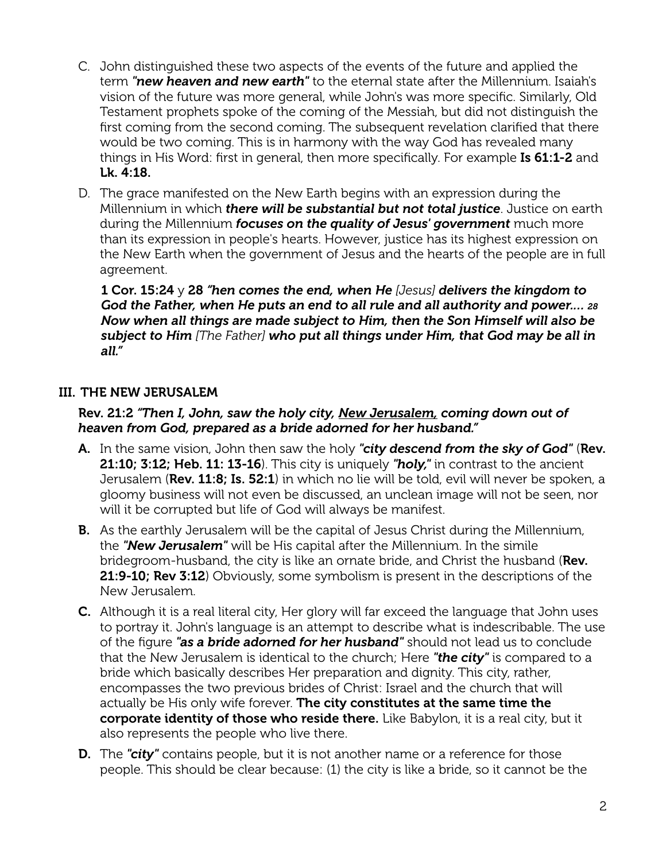- C. John distinguished these two aspects of the events of the future and applied the term *"new heaven and new earth"* to the eternal state after the Millennium. Isaiah's vision of the future was more general, while John's was more specific. Similarly, Old Testament prophets spoke of the coming of the Messiah, but did not distinguish the first coming from the second coming. The subsequent revelation clarified that there would be two coming. This is in harmony with the way God has revealed many things in His Word: first in general, then more specifically. For example Is 61:1-2 and Lk. 4:18.
- D. The grace manifested on the New Earth begins with an expression during the Millennium in which *there will be substantial but not total justice*. Justice on earth during the Millennium *focuses on the quality of Jesus' government* much more than its expression in people's hearts. However, justice has its highest expression on the New Earth when the government of Jesus and the hearts of the people are in full agreement.

1 Cor. 15:24 y 28 *"hen comes the end, when He [Jesus] delivers the kingdom to God the Father, when He puts an end to all rule and all authority and power.… 28 Now when all things are made subject to Him, then the Son Himself will also be subject to Him [The Father] who put all things under Him, that God may be all in all."* 

# III. THE NEW JERUSALEM

## Rev. 21:2 *"Then I, John, saw the holy city, New Jerusalem, coming down out of heaven from God, prepared as a bride adorned for her husband."*

- A. In the same vision, John then saw the holy *"city descend from the sky of God"* (Rev. 21:10; 3:12; Heb. 11: 13-16). This city is uniquely *"holy,"* in contrast to the ancient Jerusalem (Rev. 11:8; Is. 52:1) in which no lie will be told, evil will never be spoken, a gloomy business will not even be discussed, an unclean image will not be seen, nor will it be corrupted but life of God will always be manifest.
- **B.** As the earthly Jerusalem will be the capital of Jesus Christ during the Millennium, the *"New Jerusalem"* will be His capital after the Millennium. In the simile bridegroom-husband, the city is like an ornate bride, and Christ the husband (Rev. 21:9-10; Rev 3:12) Obviously, some symbolism is present in the descriptions of the New Jerusalem.
- C. Although it is a real literal city, Her glory will far exceed the language that John uses to portray it. John's language is an attempt to describe what is indescribable. The use of the figure *"as a bride adorned for her husband"* should not lead us to conclude that the New Jerusalem is identical to the church; Here *"the city"* is compared to a bride which basically describes Her preparation and dignity. This city, rather, encompasses the two previous brides of Christ: Israel and the church that will actually be His only wife forever. The city constitutes at the same time the corporate identity of those who reside there. Like Babylon, it is a real city, but it also represents the people who live there.
- **D.** The "city" contains people, but it is not another name or a reference for those people. This should be clear because: (1) the city is like a bride, so it cannot be the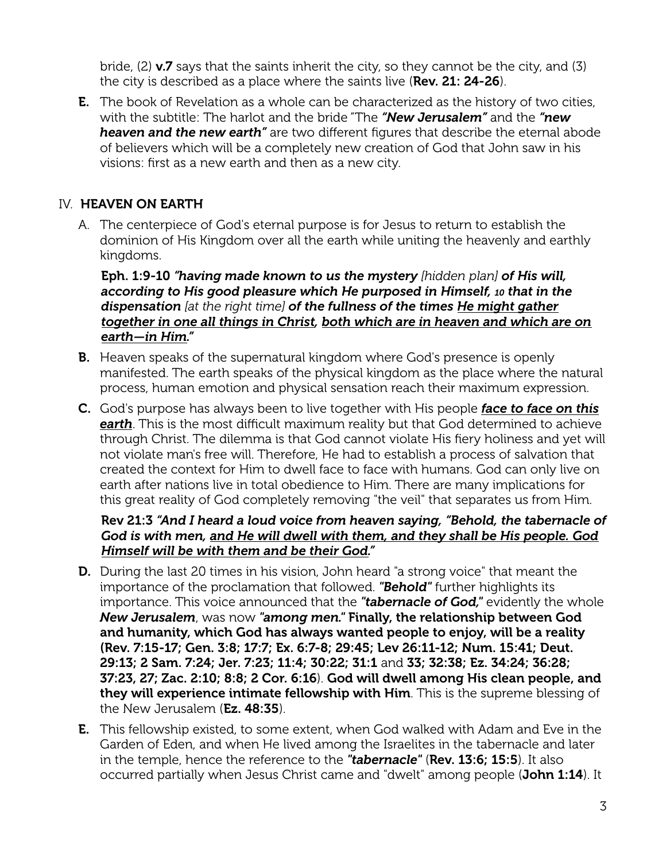bride,  $(2)$  v.7 says that the saints inherit the city, so they cannot be the city, and  $(3)$ the city is described as a place where the saints live (Rev. 21: 24-26).

**E.** The book of Revelation as a whole can be characterized as the history of two cities, with the subtitle: The harlot and the bride "The *"New Jerusalem"* and the *"new heaven and the new earth"* are two diferent figures that describe the eternal abode of believers which will be a completely new creation of God that John saw in his visions: first as a new earth and then as a new city.

# IV. HEAVEN ON EARTH

A. The centerpiece of God's eternal purpose is for Jesus to return to establish the dominion of His Kingdom over all the earth while uniting the heavenly and earthly kingdoms.

Eph. 1:9-10 *"having made known to us the mystery [hidden plan] of His will, according to His good pleasure which He purposed in Himself, 10 that in the dispensation [at the right time] of the fullness of the times He might gather together in one all things in Christ, both which are in heaven and which are on earth—in Him."*

- **B.** Heaven speaks of the supernatural kingdom where God's presence is openly manifested. The earth speaks of the physical kingdom as the place where the natural process, human emotion and physical sensation reach their maximum expression.
- C. God's purpose has always been to live together with His people *face to face on this*  **earth**. This is the most difficult maximum reality but that God determined to achieve through Christ. The dilemma is that God cannot violate His fiery holiness and yet will not violate man's free will. Therefore, He had to establish a process of salvation that created the context for Him to dwell face to face with humans. God can only live on earth after nations live in total obedience to Him. There are many implications for this great reality of God completely removing "the veil" that separates us from Him.

# Rev 21:3 *"And I heard a loud voice from heaven saying, "Behold, the tabernacle of God is with men, and He will dwell with them, and they shall be His people. God Himself will be with them and be their God."*

- **D.** During the last 20 times in his vision, John heard "a strong voice" that meant the importance of the proclamation that followed. *"Behold"* further highlights its importance. This voice announced that the *"tabernacle of God,"* evidently the whole *New Jerusalem*, was now *"among men."* Finally, the relationship between God and humanity, which God has always wanted people to enjoy, will be a reality (Rev. 7:15-17; Gen. 3:8; 17:7; Ex. 6:7-8; 29:45; Lev 26:11-12; Num. 15:41; Deut. 29:13; 2 Sam. 7:24; Jer. 7:23; 11:4; 30:22; 31:1 and 33; 32:38; Ez. 34:24; 36:28; 37:23, 27; Zac. 2:10; 8:8; 2 Cor. 6:16). God will dwell among His clean people, and they will experience intimate fellowship with Him. This is the supreme blessing of the New Jerusalem (Ez. 48:35).
- E. This fellowship existed, to some extent, when God walked with Adam and Eve in the Garden of Eden, and when He lived among the Israelites in the tabernacle and later in the temple, hence the reference to the *"tabernacle"* (Rev. 13:6; 15:5). It also occurred partially when Jesus Christ came and "dwelt" among people (John 1:14). It